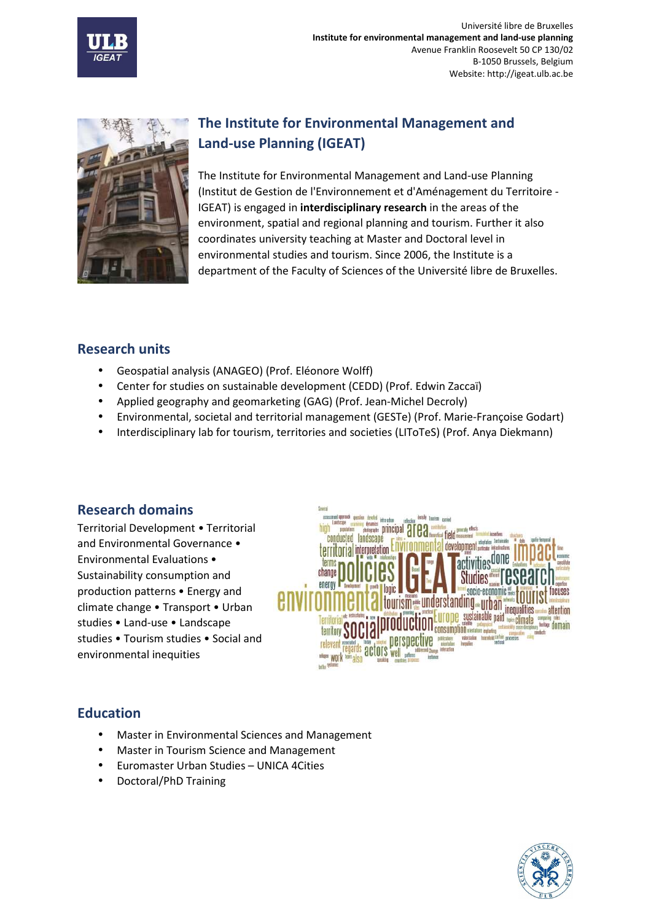



# **The Institute for Environmental Management and Land-use Planning (IGEAT)**

The Institute for Environmental Management and Land-use Planning (Institut de Gestion de l'Environnement et d'Aménagement du Territoire - IGEAT) is engaged in **interdisciplinary research** in the areas of the environment, spatial and regional planning and tourism. Further it also coordinates university teaching at Master and Doctoral level in environmental studies and tourism. Since 2006, the Institute is a department of the Faculty of Sciences of the Université libre de Bruxelles.

### **Research units**

- Geospatial analysis (ANAGEO) (Prof. Eléonore Wolff)
- Center for studies on sustainable development (CEDD) (Prof. Edwin Zaccaï)
- Applied geography and geomarketing (GAG) (Prof. Jean-Michel Decroly)
- Environmental, societal and territorial management (GESTe) (Prof. Marie-Françoise Godart)
- Interdisciplinary lab for tourism, territories and societies (LIToTeS) (Prof. Anya Diekmann)

## **Research domains**

Territorial Development • Territorial and Environmental Governance • Environmental Evaluations • Sustainability consumption and production patterns • Energy and climate change • Transport • Urban studies • Land-use • Landscape studies • Tourism studies • Social and environmental inequities



# **Education**

- Master in Environmental Sciences and Management
- Master in Tourism Science and Management
- Euromaster Urban Studies UNICA 4Cities
- Doctoral/PhD Training

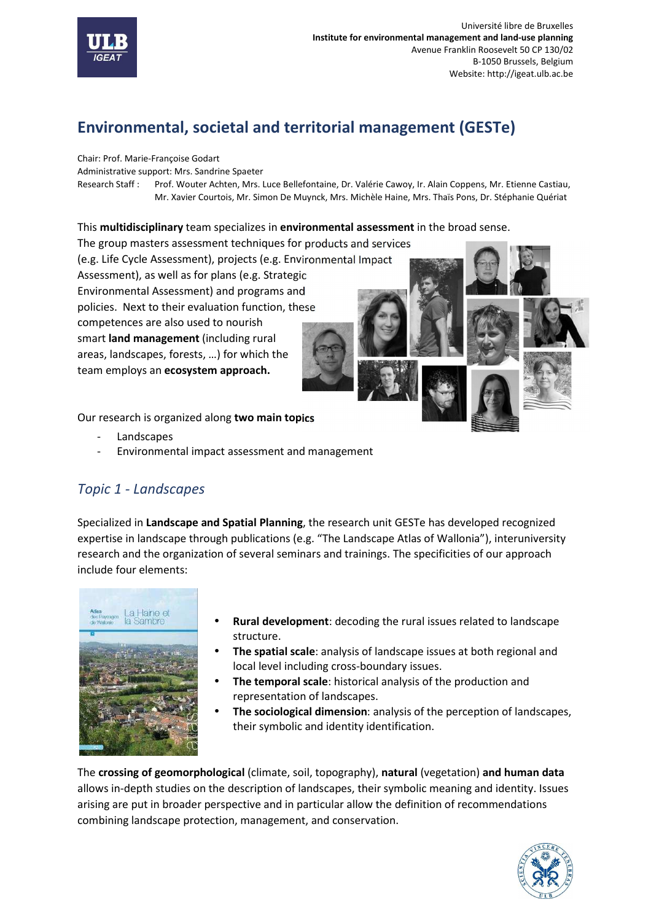

# **Environmental, societal and territorial management (GESTe)**

Chair: Prof. Marie-Françoise Godart

Administrative support: Mrs. Sandrine Spaeter

Research Staff : Prof. Wouter Achten, Mrs. Luce Bellefontaine, Dr. Valérie Cawoy, Ir. Alain Coppens, Mr. Etienne Castiau, Mr. Xavier Courtois, Mr. Simon De Muynck, Mrs. Michèle Haine, Mrs. Thaïs Pons, Dr. Stéphanie Quériat

#### This **multidisciplinary** team specializes in **environmental assessment** in the broad sense.

The group masters assessment techniques for products and services (e.g. Life Cycle Assessment), projects (e.g. Environmental Impact Assessment), as well as for plans (e.g. Strategic Environmental Assessment) and programs and policies. Next to their evaluation function, these competences are also used to nourish smart **land management** (including rural areas, landscapes, forests, …) for which the team employs an **ecosystem approach.**



Our research is organized along **two main topics**

- **Landscapes**
- Environmental impact assessment and management

# *Topic 1 - Landscapes*

Specialized in **Landscape and Spatial Planning**, the research unit GESTe has developed recognized expertise in landscape through publications (e.g. "The Landscape Atlas of Wallonia"), interuniversity research and the organization of several seminars and trainings. The specificities of our approach include four elements:



- **Rural development**: decoding the rural issues related to landscape structure.
- **The spatial scale**: analysis of landscape issues at both regional and local level including cross-boundary issues.
- **The temporal scale**: historical analysis of the production and representation of landscapes.
- **The sociological dimension**: analysis of the perception of landscapes, their symbolic and identity identification.

The **crossing of geomorphological** (climate, soil, topography), **natural** (vegetation) **and human data** allows in-depth studies on the description of landscapes, their symbolic meaning and identity. Issues arising are put in broader perspective and in particular allow the definition of recommendations combining landscape protection, management, and conservation.

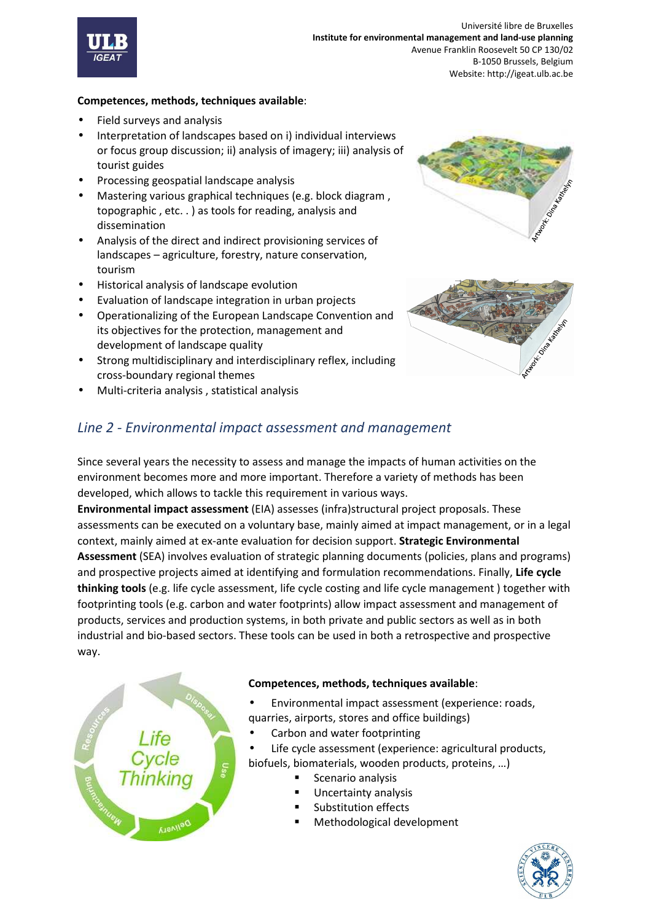

#### **Competences, methods, techniques available**:

- Field surveys and analysis
- Interpretation of landscapes based on i) individual interviews or focus group discussion; ii) analysis of imagery; iii) analysis of tourist guides
- Processing geospatial landscape analysis
- Mastering various graphical techniques (e.g. block diagram , topographic , etc. . ) as tools for reading, analysis and dissemination
- Analysis of the direct and indirect provisioning services of landscapes – agriculture, forestry, nature conservation, tourism
- Historical analysis of landscape evolution
- Evaluation of landscape integration in urban projects
- Operationalizing of the European Landscape Convention and its objectives for the protection, management and development of landscape quality
- Strong multidisciplinary and interdisciplinary reflex, including cross-boundary regional themes
- Multi-criteria analysis , statistical analysis





## *Line 2 - Environmental impact assessment and management*

Since several years the necessity to assess and manage the impacts of human activities on the environment becomes more and more important. Therefore a variety of methods has been developed, which allows to tackle this requirement in various ways.

**Environmental impact assessment** (EIA) assesses (infra)structural project proposals. These assessments can be executed on a voluntary base, mainly aimed at impact management, or in a legal context, mainly aimed at ex-ante evaluation for decision support. **Strategic Environmental Assessment** (SEA) involves evaluation of strategic planning documents (policies, plans and programs) and prospective projects aimed at identifying and formulation recommendations. Finally, **Life cycle thinking tools** (e.g. life cycle assessment, life cycle costing and life cycle management ) together with footprinting tools (e.g. carbon and water footprints) allow impact assessment and management of products, services and production systems, in both private and public sectors as well as in both industrial and bio-based sectors. These tools can be used in both a retrospective and prospective way.



#### **Competences, methods, techniques available**:

- Environmental impact assessment (experience: roads, quarries, airports, stores and office buildings)
- Carbon and water footprinting
- Life cycle assessment (experience: agricultural products, biofuels, biomaterials, wooden products, proteins, …)
	- Scenario analysis
	- Uncertainty analysis
	- Substitution effects
	- Methodological development